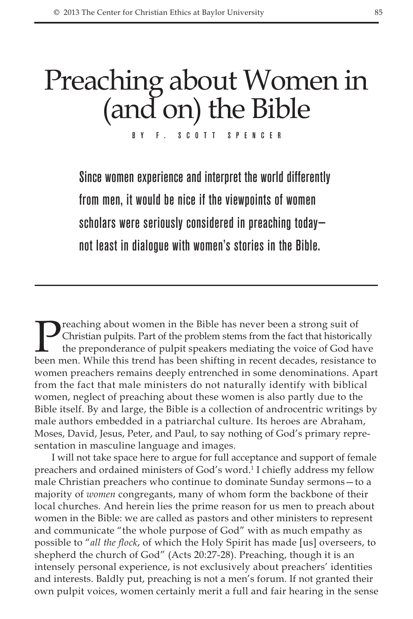## Preaching about Women in (and on) the Bible

By F. Scott Spencer

Since women experience and interpret the world differently from men, it would be nice if the viewpoints of women scholars were seriously considered in preaching today not least in dialogue with women's stories in the Bible.

**Preaching about women in the Bible has never been a strong suit of** Christian pulpits. Part of the problem stems from the fact that historica the preponderance of pulpit speakers mediating the voice of God has been men. W Christian pulpits. Part of the problem stems from the fact that historically the preponderance of pulpit speakers mediating the voice of God have been men. While this trend has been shifting in recent decades, resistance to women preachers remains deeply entrenched in some denominations. Apart from the fact that male ministers do not naturally identify with biblical women, neglect of preaching about these women is also partly due to the Bible itself. By and large, the Bible is a collection of androcentric writings by male authors embedded in a patriarchal culture. Its heroes are Abraham, Moses, David, Jesus, Peter, and Paul, to say nothing of God's primary representation in masculine language and images.

I will not take space here to argue for full acceptance and support of female preachers and ordained ministers of God's word.<sup>1</sup> I chiefly address my fellow male Christian preachers who continue to dominate Sunday sermons—to a majority of *women* congregants, many of whom form the backbone of their local churches. And herein lies the prime reason for us men to preach about women in the Bible: we are called as pastors and other ministers to represent and communicate "the whole purpose of God" with as much empathy as possible to "*all the flock*, of which the Holy Spirit has made [us] overseers, to shepherd the church of God" (Acts 20:27-28). Preaching, though it is an intensely personal experience, is not exclusively about preachers' identities and interests. Baldly put, preaching is not a men's forum. If not granted their own pulpit voices, women certainly merit a full and fair hearing in the sense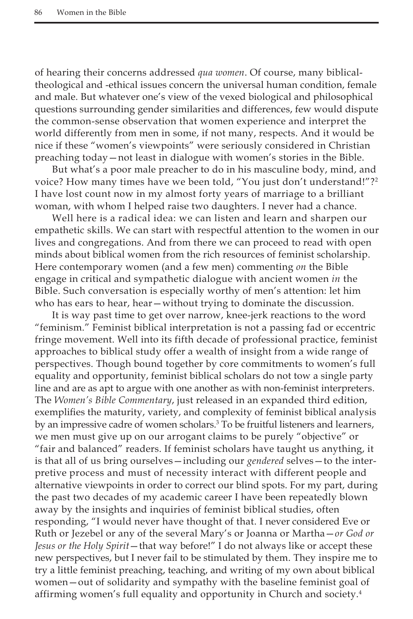of hearing their concerns addressed *qua women*. Of course, many biblicaltheological and -ethical issues concern the universal human condition, female and male. But whatever one's view of the vexed biological and philosophical questions surrounding gender similarities and differences, few would dispute the common-sense observation that women experience and interpret the world differently from men in some, if not many, respects. And it would be nice if these "women's viewpoints" were seriously considered in Christian preaching today—not least in dialogue with women's stories in the Bible.

But what's a poor male preacher to do in his masculine body, mind, and voice? How many times have we been told, "You just don't understand!"?<sup>2</sup> I have lost count now in my almost forty years of marriage to a brilliant woman, with whom I helped raise two daughters. I never had a chance.

Well here is a radical idea: we can listen and learn and sharpen our empathetic skills. We can start with respectful attention to the women in our lives and congregations. And from there we can proceed to read with open minds about biblical women from the rich resources of feminist scholarship. Here contemporary women (and a few men) commenting *on* the Bible engage in critical and sympathetic dialogue with ancient women *in* the Bible. Such conversation is especially worthy of men's attention: let him who has ears to hear, hear - without trying to dominate the discussion.

It is way past time to get over narrow, knee-jerk reactions to the word "feminism." Feminist biblical interpretation is not a passing fad or eccentric fringe movement. Well into its fifth decade of professional practice, feminist approaches to biblical study offer a wealth of insight from a wide range of perspectives. Though bound together by core commitments to women's full equality and opportunity, feminist biblical scholars do not tow a single party line and are as apt to argue with one another as with non-feminist interpreters. The *Women's Bible Commentary*, just released in an expanded third edition, exemplifies the maturity, variety, and complexity of feminist biblical analysis by an impressive cadre of women scholars.<sup>3</sup> To be fruitful listeners and learners, we men must give up on our arrogant claims to be purely "objective" or "fair and balanced" readers. If feminist scholars have taught us anything, it is that all of us bring ourselves—including our *gendered* selves—to the interpretive process and must of necessity interact with different people and alternative viewpoints in order to correct our blind spots. For my part, during the past two decades of my academic career I have been repeatedly blown away by the insights and inquiries of feminist biblical studies, often responding, "I would never have thought of that. I never considered Eve or Ruth or Jezebel or any of the several Mary's or Joanna or Martha—*or God or Jesus or the Holy Spirit*—that way before!" I do not always like or accept these new perspectives, but I never fail to be stimulated by them. They inspire me to try a little feminist preaching, teaching, and writing of my own about biblical women—out of solidarity and sympathy with the baseline feminist goal of affirming women's full equality and opportunity in Church and society.4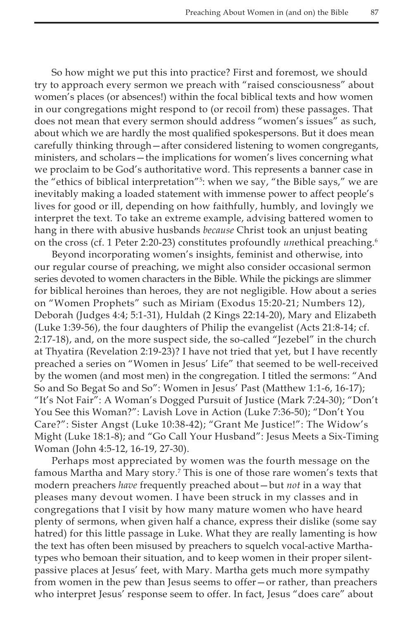So how might we put this into practice? First and foremost, we should try to approach every sermon we preach with "raised consciousness" about women's places (or absences!) within the focal biblical texts and how women in our congregations might respond to (or recoil from) these passages. That does not mean that every sermon should address "women's issues" as such, about which we are hardly the most qualified spokespersons. But it does mean carefully thinking through—after considered listening to women congregants, ministers, and scholars—the implications for women's lives concerning what we proclaim to be God's authoritative word. This represents a banner case in the "ethics of biblical interpretation"5 : when we say, "the Bible says," we are inevitably making a loaded statement with immense power to affect people's lives for good or ill, depending on how faithfully, humbly, and lovingly we interpret the text. To take an extreme example, advising battered women to hang in there with abusive husbands *because* Christ took an unjust beating on the cross (cf. 1 Peter 2:20-23) constitutes profoundly *un*ethical preaching.6

Beyond incorporating women's insights, feminist and otherwise, into our regular course of preaching, we might also consider occasional sermon series devoted to women characters in the Bible. While the pickings are slimmer for biblical heroines than heroes, they are not negligible. How about a series on "Women Prophets" such as Miriam (Exodus 15:20-21; Numbers 12), Deborah (Judges 4:4; 5:1-31), Huldah (2 Kings 22:14-20), Mary and Elizabeth (Luke 1:39-56), the four daughters of Philip the evangelist (Acts 21:8-14; cf. 2:17-18), and, on the more suspect side, the so-called "Jezebel" in the church at Thyatira (Revelation 2:19-23)? I have not tried that yet, but I have recently preached a series on "Women in Jesus' Life" that seemed to be well-received by the women (and most men) in the congregation. I titled the sermons: "And So and So Begat So and So": Women in Jesus' Past (Matthew 1:1-6, 16-17); "It's Not Fair": A Woman's Dogged Pursuit of Justice (Mark 7:24-30); "Don't You See this Woman?": Lavish Love in Action (Luke 7:36-50); "Don't You Care?": Sister Angst (Luke 10:38-42); "Grant Me Justice!": The Widow's Might (Luke 18:1-8); and "Go Call Your Husband": Jesus Meets a Six-Timing Woman (John 4:5-12, 16-19, 27-30).

Perhaps most appreciated by women was the fourth message on the famous Martha and Mary story.7 This is one of those rare women's texts that modern preachers *have* frequently preached about—but *not* in a way that pleases many devout women. I have been struck in my classes and in congregations that I visit by how many mature women who have heard plenty of sermons, when given half a chance, express their dislike (some say hatred) for this little passage in Luke. What they are really lamenting is how the text has often been misused by preachers to squelch vocal-active Marthatypes who bemoan their situation, and to keep women in their proper silentpassive places at Jesus' feet, with Mary. Martha gets much more sympathy from women in the pew than Jesus seems to offer—or rather, than preachers who interpret Jesus' response seem to offer. In fact, Jesus "does care" about